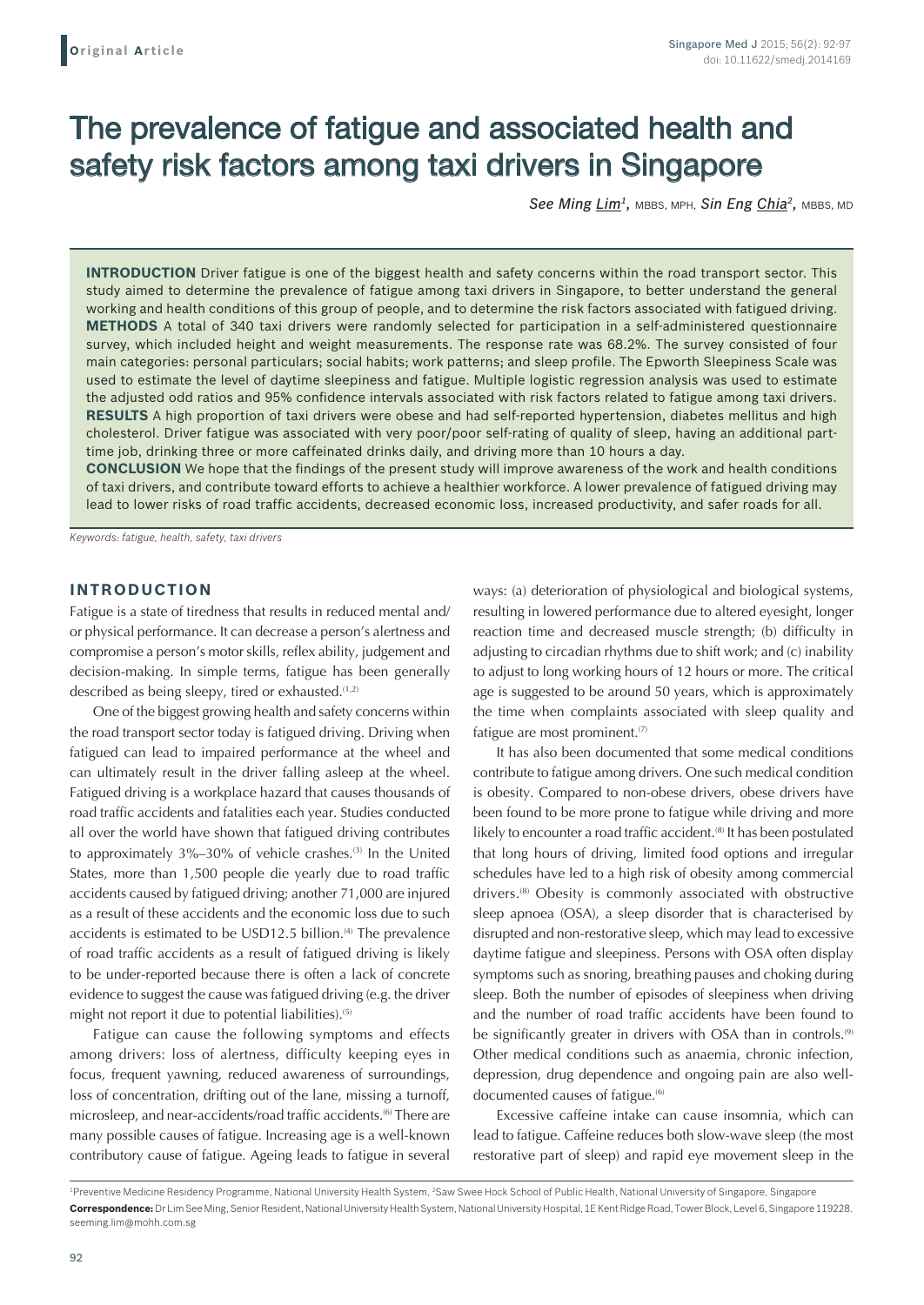# The prevalence of fatigue and associated health and safety risk factors among taxi drivers in Singapore

*See Ming Lim1,* MBBS, MPH, *Sin Eng Chia2,* MBBS, MD

**INTRODUCTION** Driver fatigue is one of the biggest health and safety concerns within the road transport sector. This study aimed to determine the prevalence of fatigue among taxi drivers in Singapore, to better understand the general working and health conditions of this group of people, and to determine the risk factors associated with fatigued driving. **METHODS** A total of 340 taxi drivers were randomly selected for participation in a self-administered questionnaire survey, which included height and weight measurements. The response rate was 68.2%. The survey consisted of four main categories: personal particulars; social habits; work patterns; and sleep profile. The Epworth Sleepiness Scale was used to estimate the level of daytime sleepiness and fatigue. Multiple logistic regression analysis was used to estimate the adjusted odd ratios and 95% confidence intervals associated with risk factors related to fatigue among taxi drivers. **RESULTS** A high proportion of taxi drivers were obese and had self-reported hypertension, diabetes mellitus and high cholesterol. Driver fatigue was associated with very poor/poor self-rating of quality of sleep, having an additional parttime job, drinking three or more caffeinated drinks daily, and driving more than 10 hours a day.

**CONCLUSION** We hope that the findings of the present study will improve awareness of the work and health conditions of taxi drivers, and contribute toward efforts to achieve a healthier workforce. A lower prevalence of fatigued driving may lead to lower risks of road traffic accidents, decreased economic loss, increased productivity, and safer roads for all.

*Keywords: fatigue, health, safety, taxi drivers*

## **INTRODUCTION**

Fatigue is a state of tiredness that results in reduced mental and/ or physical performance. It can decrease a person's alertness and compromise a person's motor skills, reflex ability, judgement and decision-making. In simple terms, fatigue has been generally described as being sleepy, tired or exhausted. $(1,2)$ 

One of the biggest growing health and safety concerns within the road transport sector today is fatigued driving. Driving when fatigued can lead to impaired performance at the wheel and can ultimately result in the driver falling asleep at the wheel. Fatigued driving is a workplace hazard that causes thousands of road traffic accidents and fatalities each year. Studies conducted all over the world have shown that fatigued driving contributes to approximately 3%–30% of vehicle crashes.<sup>(3)</sup> In the United States, more than 1,500 people die yearly due to road traffic accidents caused by fatigued driving; another 71,000 are injured as a result of these accidents and the economic loss due to such accidents is estimated to be USD12.5 billion.<sup>(4)</sup> The prevalence of road traffic accidents as a result of fatigued driving is likely to be under-reported because there is often a lack of concrete evidence to suggest the cause was fatigued driving (e.g. the driver might not report it due to potential liabilities).<sup>(5)</sup>

Fatigue can cause the following symptoms and effects among drivers: loss of alertness, difficulty keeping eyes in focus, frequent yawning, reduced awareness of surroundings, loss of concentration, drifting out of the lane, missing a turnoff, microsleep, and near-accidents/road traffic accidents.(6) There are many possible causes of fatigue. Increasing age is a well-known contributory cause of fatigue. Ageing leads to fatigue in several ways: (a) deterioration of physiological and biological systems, resulting in lowered performance due to altered eyesight, longer reaction time and decreased muscle strength; (b) difficulty in adjusting to circadian rhythms due to shift work; and (c) inability to adjust to long working hours of 12 hours or more. The critical age is suggested to be around 50 years, which is approximately the time when complaints associated with sleep quality and fatigue are most prominent.<sup>(7)</sup>

It has also been documented that some medical conditions contribute to fatigue among drivers. One such medical condition is obesity. Compared to non-obese drivers, obese drivers have been found to be more prone to fatigue while driving and more likely to encounter a road traffic accident.<sup>(8)</sup> It has been postulated that long hours of driving, limited food options and irregular schedules have led to a high risk of obesity among commercial drivers.(8) Obesity is commonly associated with obstructive sleep apnoea (OSA), a sleep disorder that is characterised by disrupted and non-restorative sleep, which may lead to excessive daytime fatigue and sleepiness. Persons with OSA often display symptoms such as snoring, breathing pauses and choking during sleep. Both the number of episodes of sleepiness when driving and the number of road traffic accidents have been found to be significantly greater in drivers with OSA than in controls.<sup>(9)</sup> Other medical conditions such as anaemia, chronic infection, depression, drug dependence and ongoing pain are also welldocumented causes of fatigue.<sup>(6)</sup>

Excessive caffeine intake can cause insomnia, which can lead to fatigue. Caffeine reduces both slow-wave sleep (the most restorative part of sleep) and rapid eye movement sleep in the

<sup>&</sup>lt;sup>1</sup>Preventive Medicine Residency Programme, National University Health System, <sup>2</sup>Saw Swee Hock School of Public Health, National University of Singapore, Singapore **Correspondence:** Dr Lim See Ming, Senior Resident, National University Health System, National University Hospital, 1E Kent Ridge Road, Tower Block, Level 6, Singapore 119228. seeming.lim@mohh.com.sg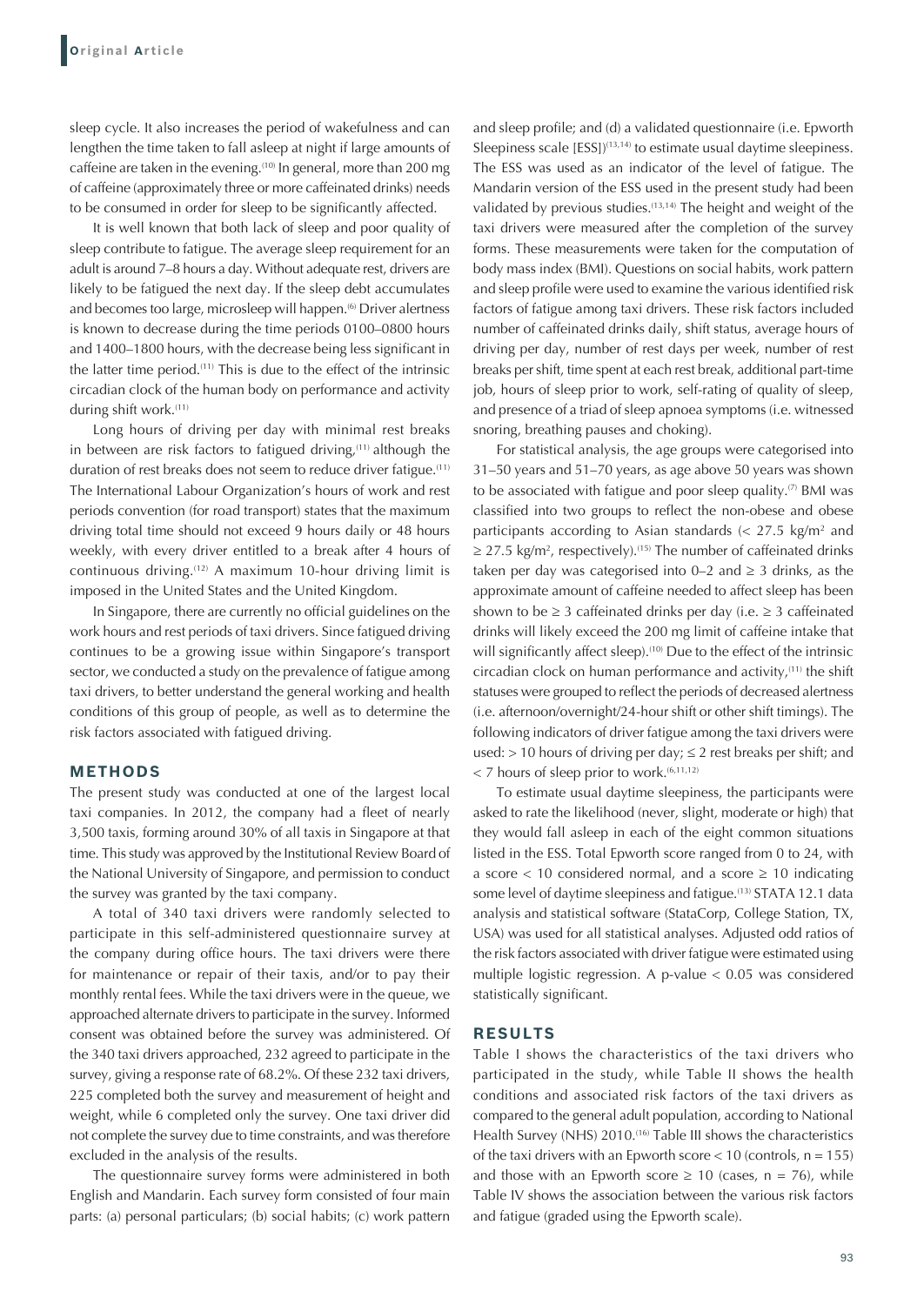sleep cycle. It also increases the period of wakefulness and can lengthen the time taken to fall asleep at night if large amounts of caffeine are taken in the evening.<sup>(10)</sup> In general, more than 200 mg of caffeine (approximately three or more caffeinated drinks) needs to be consumed in order for sleep to be significantly affected.

It is well known that both lack of sleep and poor quality of sleep contribute to fatigue. The average sleep requirement for an adult is around 7–8 hours a day. Without adequate rest, drivers are likely to be fatigued the next day. If the sleep debt accumulates and becomes too large, microsleep will happen.<sup>(6)</sup> Driver alertness is known to decrease during the time periods 0100–0800 hours and 1400–1800 hours, with the decrease being less significant in the latter time period.(11) This is due to the effect of the intrinsic circadian clock of the human body on performance and activity during shift work.<sup>(11)</sup>

Long hours of driving per day with minimal rest breaks in between are risk factors to fatigued driving, $(11)$  although the duration of rest breaks does not seem to reduce driver fatigue.<sup>(11)</sup> The International Labour Organization's hours of work and rest periods convention (for road transport) states that the maximum driving total time should not exceed 9 hours daily or 48 hours weekly, with every driver entitled to a break after 4 hours of continuous driving.(12) A maximum 10-hour driving limit is imposed in the United States and the United Kingdom.

In Singapore, there are currently no official guidelines on the work hours and rest periods of taxi drivers. Since fatigued driving continues to be a growing issue within Singapore's transport sector, we conducted a study on the prevalence of fatigue among taxi drivers, to better understand the general working and health conditions of this group of people, as well as to determine the risk factors associated with fatigued driving.

#### **METHODS**

The present study was conducted at one of the largest local taxi companies. In 2012, the company had a fleet of nearly 3,500 taxis, forming around 30% of all taxis in Singapore at that time. This study was approved by the Institutional Review Board of the National University of Singapore, and permission to conduct the survey was granted by the taxi company.

A total of 340 taxi drivers were randomly selected to participate in this self-administered questionnaire survey at the company during office hours. The taxi drivers were there for maintenance or repair of their taxis, and/or to pay their monthly rental fees. While the taxi drivers were in the queue, we approached alternate drivers to participate in the survey. Informed consent was obtained before the survey was administered. Of the 340 taxi drivers approached, 232 agreed to participate in the survey, giving a response rate of 68.2%. Of these 232 taxi drivers, 225 completed both the survey and measurement of height and weight, while 6 completed only the survey. One taxi driver did not complete the survey due to time constraints, and was therefore excluded in the analysis of the results.

The questionnaire survey forms were administered in both English and Mandarin. Each survey form consisted of four main parts: (a) personal particulars; (b) social habits; (c) work pattern

and sleep profile; and (d) a validated questionnaire (i.e. Epworth Sleepiness scale [ESS])<sup>(13,14)</sup> to estimate usual daytime sleepiness. The ESS was used as an indicator of the level of fatigue. The Mandarin version of the ESS used in the present study had been validated by previous studies.<sup> $(13,14)$ </sup> The height and weight of the taxi drivers were measured after the completion of the survey forms. These measurements were taken for the computation of body mass index (BMI). Questions on social habits, work pattern and sleep profile were used to examine the various identified risk factors of fatigue among taxi drivers. These risk factors included number of caffeinated drinks daily, shift status, average hours of driving per day, number of rest days per week, number of rest breaks per shift, time spent at each rest break, additional part-time job, hours of sleep prior to work, self-rating of quality of sleep, and presence of a triad of sleep apnoea symptoms (i.e. witnessed snoring, breathing pauses and choking).

For statistical analysis, the age groups were categorised into 31–50 years and 51–70 years, as age above 50 years was shown to be associated with fatigue and poor sleep quality. $(7)$  BMI was classified into two groups to reflect the non-obese and obese participants according to Asian standards ( $<$  27.5 kg/m<sup>2</sup> and  $\geq$  27.5 kg/m<sup>2</sup>, respectively).<sup>(15)</sup> The number of caffeinated drinks taken per day was categorised into 0–2 and  $\geq$  3 drinks, as the approximate amount of caffeine needed to affect sleep has been shown to be  $\geq$  3 caffeinated drinks per day (i.e.  $\geq$  3 caffeinated drinks will likely exceed the 200 mg limit of caffeine intake that will significantly affect sleep).<sup>(10)</sup> Due to the effect of the intrinsic circadian clock on human performance and activity, $(11)$  the shift statuses were grouped to reflect the periods of decreased alertness (i.e. afternoon/overnight/24-hour shift or other shift timings). The following indicators of driver fatigue among the taxi drivers were used: > 10 hours of driving per day;  $\leq$  2 rest breaks per shift; and  $<$  7 hours of sleep prior to work.<sup> $(6,11,12)$ </sup>

To estimate usual daytime sleepiness, the participants were asked to rate the likelihood (never, slight, moderate or high) that they would fall asleep in each of the eight common situations listed in the ESS. Total Epworth score ranged from 0 to 24, with a score  $<$  10 considered normal, and a score  $\geq$  10 indicating some level of daytime sleepiness and fatigue.<sup>(13)</sup> STATA 12.1 data analysis and statistical software (StataCorp, College Station, TX, USA) was used for all statistical analyses. Adjusted odd ratios of the risk factors associated with driver fatigue were estimated using multiple logistic regression. A p-value < 0.05 was considered statistically significant.

## **RESULTS**

Table I shows the characteristics of the taxi drivers who participated in the study, while Table II shows the health conditions and associated risk factors of the taxi drivers as compared to the general adult population, according to National Health Survey (NHS) 2010.<sup>(16)</sup> Table III shows the characteristics of the taxi drivers with an Epworth score  $<$  10 (controls, n = 155) and those with an Epworth score  $\geq 10$  (cases, n = 76), while Table IV shows the association between the various risk factors and fatigue (graded using the Epworth scale).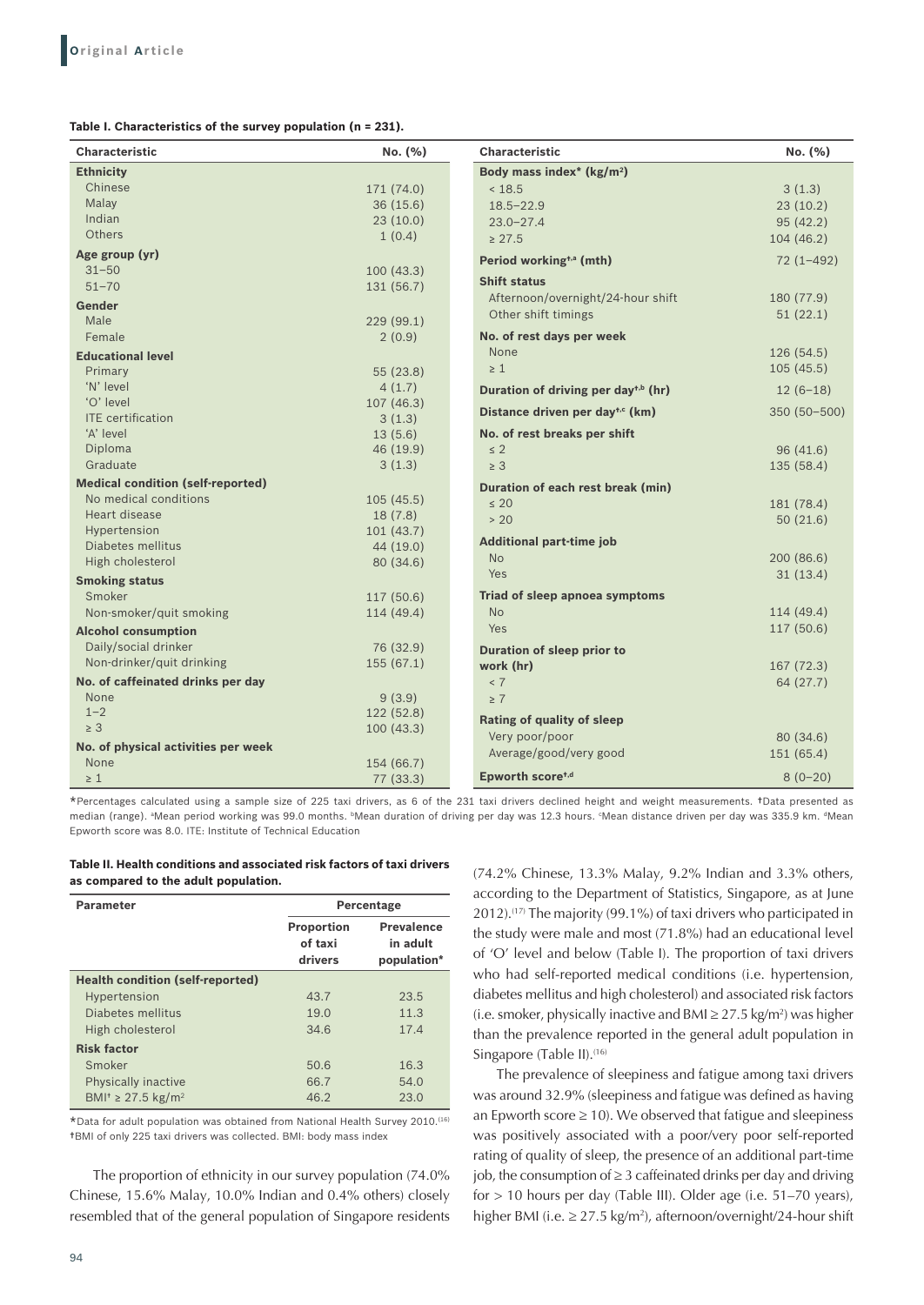**Table I. Characteristics of the survey population (n = 231).**

| <b>Characteristic</b>                    | No. (%)    | <b>Characteristic</b>                           | No. (%)       |  |
|------------------------------------------|------------|-------------------------------------------------|---------------|--|
| <b>Ethnicity</b>                         |            | Body mass index* (kg/m <sup>2</sup> )           |               |  |
| Chinese                                  | 171 (74.0) | < 18.5                                          | 3(1.3)        |  |
| Malav                                    | 36(15.6)   | $18.5 - 22.9$                                   | 23(10.2)      |  |
| Indian                                   | 23(10.0)   | $23.0 - 27.4$                                   | 95(42.2)      |  |
| Others                                   | 1(0.4)     | $\geq 27.5$                                     | 104 (46.2)    |  |
| Age group (yr)                           |            | Period working <sup>+,a</sup> (mth)             | $72(1 - 492)$ |  |
| $31 - 50$                                | 100(43.3)  |                                                 |               |  |
| $51 - 70$                                | 131 (56.7) | <b>Shift status</b>                             |               |  |
| Gender                                   |            | Afternoon/overnight/24-hour shift               | 180 (77.9)    |  |
| Male                                     | 229 (99.1) | Other shift timings                             | 51(22.1)      |  |
| Female                                   | 2(0.9)     | No. of rest days per week                       |               |  |
| <b>Educational level</b>                 |            | None                                            | 126 (54.5)    |  |
| Primary                                  | 55 (23.8)  | $\geq 1$                                        | 105(45.5)     |  |
| 'N' level                                | 4(1.7)     | Duration of driving per day <sup>t,b</sup> (hr) | $12(6-18)$    |  |
| 'O' level                                | 107(46.3)  | Distance driven per day <sup>t,c</sup> (km)     | 350 (50-500)  |  |
| <b>ITE</b> certification                 | 3(1.3)     |                                                 |               |  |
| 'A' level                                | 13(5.6)    | No. of rest breaks per shift                    |               |  |
| Diploma                                  | 46 (19.9)  | $\leq 2$                                        | 96(41.6)      |  |
| Graduate                                 | 3(1.3)     | $\geq 3$                                        | 135 (58.4)    |  |
| <b>Medical condition (self-reported)</b> |            | Duration of each rest break (min)               |               |  |
| No medical conditions                    | 105(45.5)  | $\leq 20$                                       | 181 (78.4)    |  |
| Heart disease                            | 18(7.8)    | > 20                                            | 50(21.6)      |  |
| Hypertension                             | 101(43.7)  | <b>Additional part-time job</b>                 |               |  |
| Diabetes mellitus                        | 44 (19.0)  | <b>No</b><br>200 (86.6)                         |               |  |
| High cholesterol                         | 80 (34.6)  | Yes                                             |               |  |
| <b>Smoking status</b>                    |            | 31(13.4)                                        |               |  |
| Smoker                                   | 117 (50.6) | Triad of sleep apnoea symptoms                  |               |  |
| Non-smoker/quit smoking                  | 114 (49.4) | <b>No</b>                                       | 114 (49.4)    |  |
| <b>Alcohol consumption</b>               |            | <b>Yes</b>                                      | 117 (50.6)    |  |
| Daily/social drinker                     | 76 (32.9)  | Duration of sleep prior to                      |               |  |
| Non-drinker/quit drinking                | 155(67.1)  | work (hr)                                       | 167 (72.3)    |  |
| No. of caffeinated drinks per day        |            | < 7                                             | 64 (27.7)     |  |
| None                                     | 9(3.9)     | $\geq 7$                                        |               |  |
| $1 - 2$                                  | 122(52.8)  | <b>Rating of quality of sleep</b>               |               |  |
| $\geq 3$                                 | 100(43.3)  | Very poor/poor                                  | 80 (34.6)     |  |
| No. of physical activities per week      |            | Average/good/very good                          | 151 (65.4)    |  |
| None                                     | 154 (66.7) |                                                 |               |  |
| $\geq 1$                                 | 77 (33.3)  | Epworth score <sup>t,d</sup>                    | $8(0-20)$     |  |

\*Percentages calculated using a sample size of 225 taxi drivers, as 6 of the 231 taxi drivers declined height and weight measurements. †Data presented as median (range). ªMean period working was 99.0 months. ʰMean duration of driving per day was 12.3 hours. ʿMean distance driven per day was 335.9 km. ªMean Epworth score was 8.0. ITE: Institute of Technical Education

**Table II. Health conditions and associated risk factors of taxi drivers as compared to the adult population.**

| <b>Parameter</b>                               | Percentage                              |                                              |
|------------------------------------------------|-----------------------------------------|----------------------------------------------|
|                                                | <b>Proportion</b><br>of taxi<br>drivers | <b>Prevalence</b><br>in adult<br>population* |
| <b>Health condition (self-reported)</b>        |                                         |                                              |
| Hypertension                                   | 43.7                                    | 23.5                                         |
| Diabetes mellitus                              | 19.0                                    | 11.3                                         |
| High cholesterol                               | 34.6                                    | 17.4                                         |
| <b>Risk factor</b>                             |                                         |                                              |
| Smoker                                         | 50.6                                    | 16.3                                         |
| Physically inactive                            | 66.7                                    | 54.0                                         |
| BMI <sup>+</sup> $\geq$ 27.5 kg/m <sup>2</sup> | 46.2                                    | 23.0                                         |

\*Data for adult population was obtained from National Health Survey 2010.(16) †BMI of only 225 taxi drivers was collected. BMI: body mass index

The proportion of ethnicity in our survey population (74.0% Chinese, 15.6% Malay, 10.0% Indian and 0.4% others) closely resembled that of the general population of Singapore residents

(74.2% Chinese, 13.3% Malay, 9.2% Indian and 3.3% others, according to the Department of Statistics, Singapore, as at June 2012).(17) The majority (99.1%) of taxi drivers who participated in the study were male and most (71.8%) had an educational level of 'O' level and below (Table I). The proportion of taxi drivers who had self-reported medical conditions (i.e. hypertension, diabetes mellitus and high cholesterol) and associated risk factors (i.e. smoker, physically inactive and BMI ≥ 27.5 kg/m<sup>2</sup>) was higher than the prevalence reported in the general adult population in Singapore (Table II).<sup>(16)</sup>

The prevalence of sleepiness and fatigue among taxi drivers was around 32.9% (sleepiness and fatigue was defined as having an Epworth score  $\geq 10$ ). We observed that fatigue and sleepiness was positively associated with a poor/very poor self-reported rating of quality of sleep, the presence of an additional part-time job, the consumption of  $\geq 3$  caffeinated drinks per day and driving for > 10 hours per day (Table III). Older age (i.e. 51–70 years), higher BMI (i.e. ≥ 27.5 kg/m<sup>2</sup> ), afternoon/overnight/24-hour shift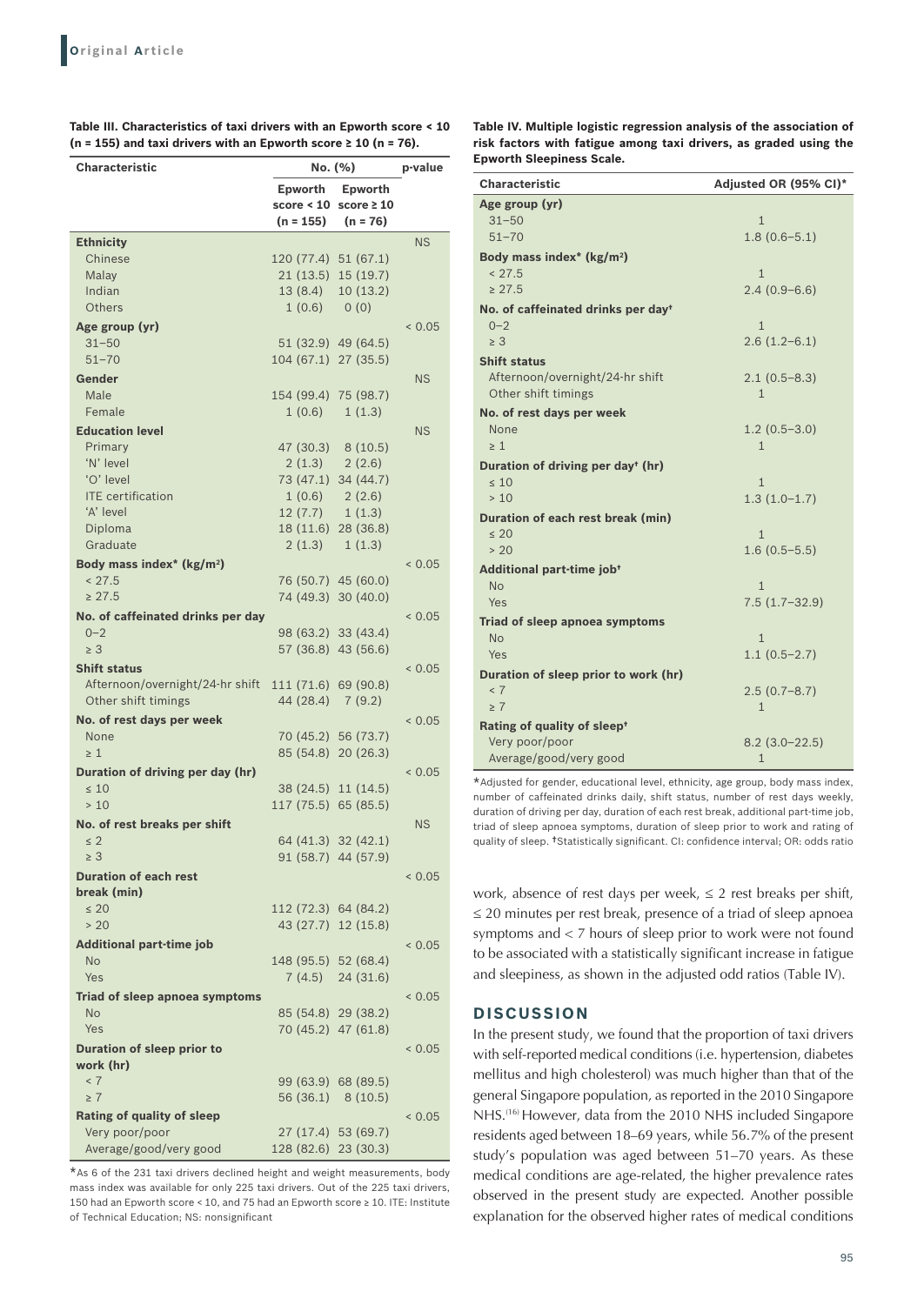| Characteristic                        | No. (%)              |                                         |           |
|---------------------------------------|----------------------|-----------------------------------------|-----------|
|                                       |                      |                                         | p-value   |
|                                       | Epworth              | Epworth<br>score < $10$ score $\geq 10$ |           |
|                                       | (n = 155)            | $(n = 76)$                              |           |
| <b>Ethnicity</b>                      |                      |                                         | <b>NS</b> |
| Chinese                               | 120 (77.4) 51 (67.1) |                                         |           |
| Malay                                 |                      | 21 (13.5) 15 (19.7)                     |           |
| Indian                                |                      | 13 (8.4) 10 (13.2)                      |           |
| Others                                | 1(0.6) 0(0)          |                                         |           |
| Age group (yr)                        |                      |                                         | < 0.05    |
| $31 - 50$                             |                      | 51 (32.9) 49 (64.5)                     |           |
| $51 - 70$                             | 104 (67.1) 27 (35.5) |                                         |           |
| Gender                                |                      |                                         | <b>NS</b> |
| Male                                  | 154 (99.4) 75 (98.7) |                                         |           |
| Female                                | 1(0.6)               | 1(1.3)                                  |           |
| <b>Education level</b>                |                      |                                         | <b>NS</b> |
| Primary                               | 47 (30.3) 8 (10.5)   |                                         |           |
| 'N' level                             |                      | $2(1.3)$ $2(2.6)$                       |           |
| 'O' level                             |                      | 73 (47.1) 34 (44.7)                     |           |
| <b>ITE</b> certification              |                      | 1(0.6) 2(2.6)                           |           |
| 'A' level                             | $12(7.7)$ $1(1.3)$   |                                         |           |
| Diploma                               |                      | 18 (11.6) 28 (36.8)                     |           |
| Graduate                              |                      | $2(1.3) \quad 1(1.3)$                   |           |
| Body mass index* (kg/m <sup>2</sup> ) |                      |                                         | < 0.05    |
| < 27.5                                |                      | 76 (50.7) 45 (60.0)                     |           |
| $\geq 27.5$                           |                      | 74 (49.3) 30 (40.0)                     |           |
| No. of caffeinated drinks per day     |                      |                                         | < 0.05    |
| $0 - 2$                               |                      | 98 (63.2) 33 (43.4)                     |           |
| $\geq 3$                              |                      | 57 (36.8) 43 (56.6)                     |           |
| <b>Shift status</b>                   |                      |                                         | < 0.05    |
| Afternoon/overnight/24-hr shift       | 111 (71.6) 69 (90.8) |                                         |           |
| Other shift timings                   | 44 (28.4) 7 (9.2)    |                                         |           |
| No. of rest days per week             |                      |                                         | < 0.05    |
| None                                  |                      | 70 (45.2) 56 (73.7)                     |           |
| $\geq 1$                              |                      | 85 (54.8) 20 (26.3)                     |           |
| Duration of driving per day (hr)      |                      |                                         | < 0.05    |
| $\leq 10$<br>>10                      | 117 (75.5) 65 (85.5) | 38 (24.5) 11 (14.5)                     |           |
|                                       |                      |                                         |           |
| No. of rest breaks per shift          |                      | 64 (41.3) 32 (42.1)                     | <b>NS</b> |
| $\leq$ 2<br>$\geq 3$                  |                      | 91 (58.7) 44 (57.9)                     |           |
| <b>Duration of each rest</b>          |                      |                                         | < 0.05    |
| break (min)                           |                      |                                         |           |
| $\leq 20$                             | 112 (72.3) 64 (84.2) |                                         |           |
| > 20                                  |                      | 43 (27.7) 12 (15.8)                     |           |
| <b>Additional part-time job</b>       |                      |                                         | < 0.05    |
| <b>No</b>                             | 148 (95.5) 52 (68.4) |                                         |           |
| Yes                                   |                      | $7(4.5)$ 24 (31.6)                      |           |
| Triad of sleep apnoea symptoms        |                      |                                         | < 0.05    |
| No                                    |                      | 85 (54.8) 29 (38.2)                     |           |
| Yes                                   |                      | 70 (45.2) 47 (61.8)                     |           |
| Duration of sleep prior to            |                      |                                         | 0.05      |
| work (hr)                             |                      |                                         |           |
| < 7                                   |                      | 99 (63.9) 68 (89.5)                     |           |
| $\geq 7$                              |                      | 56 (36.1) 8 (10.5)                      |           |
| <b>Rating of quality of sleep</b>     |                      |                                         | < 0.05    |
| Very poor/poor                        |                      | 27 (17.4) 53 (69.7)                     |           |
| Average/good/very good                | 128 (82.6) 23 (30.3) |                                         |           |

**Table III. Characteristics of taxi drivers with an Epworth score < 10 (n = 155) and taxi drivers with an Epworth score ≥ 10 (n = 76).**

\*As 6 of the 231 taxi drivers declined height and weight measurements, body mass index was available for only 225 taxi drivers. Out of the 225 taxi drivers, 150 had an Epworth score < 10, and 75 had an Epworth score ≥ 10. ITE: Institute of Technical Education; NS: nonsignificant

**Table IV. Multiple logistic regression analysis of the association of risk factors with fatigue among taxi drivers, as graded using the Epworth Sleepiness Scale.**

| <b>Characteristic</b>                          | Adjusted OR (95% CI)* |
|------------------------------------------------|-----------------------|
| Age group (yr)                                 |                       |
| $31 - 50$                                      | $\mathbf{1}$          |
| $51 - 70$                                      | $1.8(0.6 - 5.1)$      |
| Body mass index* ( $\text{kg/m}^2$ )           |                       |
| < 27.5                                         | $\mathbf{1}$          |
| > 27.5                                         | $2.4(0.9-6.6)$        |
| No. of caffeinated drinks per day <sup>+</sup> |                       |
| $0 - 2$                                        | $\mathbf{1}$          |
| $\geq 3$                                       | $2.6(1.2-6.1)$        |
| <b>Shift status</b>                            |                       |
| Afternoon/overnight/24-hr shift                | $2.1(0.5-8.3)$        |
| Other shift timings                            | $\mathbf{1}$          |
| No. of rest days per week                      |                       |
| None                                           | $1.2(0.5-3.0)$        |
| $\geq 1$                                       | $\mathbf{1}$          |
| Duration of driving per day <sup>+</sup> (hr)  |                       |
| $\leq 10$                                      | $\mathbf{1}$          |
| >10                                            | $1.3(1.0-1.7)$        |
| Duration of each rest break (min)              |                       |
| $\leq 20$                                      | $\mathbf{1}$          |
| > 20                                           | $1.6(0.5-5.5)$        |
| Additional part-time job <sup>+</sup>          |                       |
| <b>No</b>                                      | $\mathbf{1}$          |
| Yes                                            | $7.5(1.7-32.9)$       |
| Triad of sleep apnoea symptoms                 |                       |
| <b>No</b>                                      | $\mathbf{1}$          |
| Yes                                            | $1.1(0.5-2.7)$        |
| Duration of sleep prior to work (hr)           |                       |
| < 7                                            | $2.5(0.7-8.7)$        |
| $\geq 7$                                       | $\mathbf{1}$          |
| Rating of quality of sleep <sup>+</sup>        |                       |
| Very poor/poor                                 | $8.2(3.0-22.5)$       |
| Average/good/very good                         | 1                     |

\*Adjusted for gender, educational level, ethnicity, age group, body mass index, number of caffeinated drinks daily, shift status, number of rest days weekly, duration of driving per day, duration of each rest break, additional part-time job, triad of sleep apnoea symptoms, duration of sleep prior to work and rating of quality of sleep. †Statistically significant. CI: confidence interval; OR: odds ratio

work, absence of rest days per week,  $\leq 2$  rest breaks per shift, ≤ 20 minutes per rest break, presence of a triad of sleep apnoea symptoms and < 7 hours of sleep prior to work were not found to be associated with a statistically significant increase in fatigue and sleepiness, as shown in the adjusted odd ratios (Table IV).

### **DISCUSSION**

In the present study, we found that the proportion of taxi drivers with self-reported medical conditions (i.e. hypertension, diabetes mellitus and high cholesterol) was much higher than that of the general Singapore population, as reported in the 2010 Singapore NHS.(16) However, data from the 2010 NHS included Singapore residents aged between 18–69 years, while 56.7% of the present study's population was aged between 51–70 years. As these medical conditions are age-related, the higher prevalence rates observed in the present study are expected. Another possible explanation for the observed higher rates of medical conditions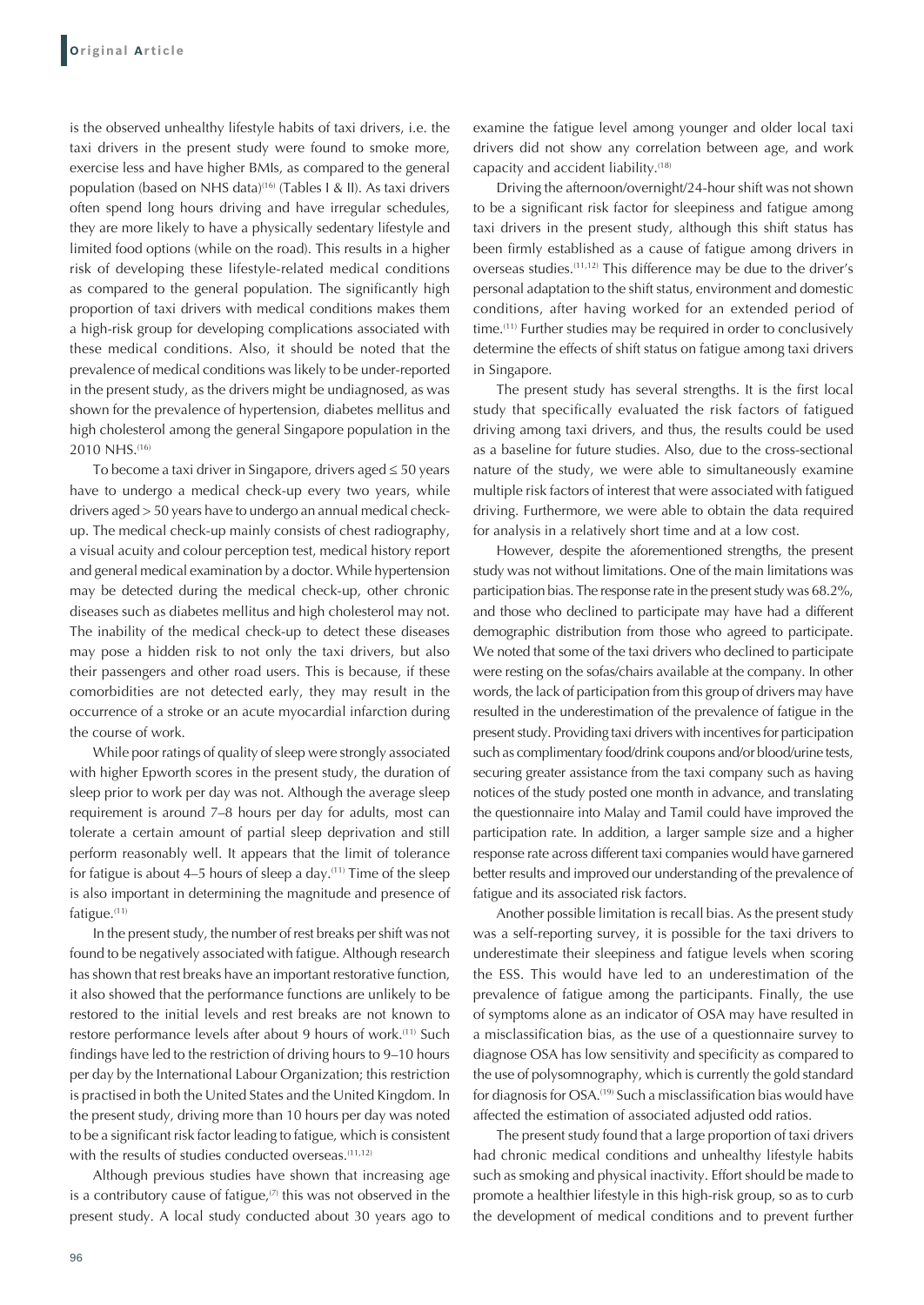is the observed unhealthy lifestyle habits of taxi drivers, i.e. the taxi drivers in the present study were found to smoke more, exercise less and have higher BMIs, as compared to the general population (based on NHS data)<sup>(16)</sup> (Tables I & II). As taxi drivers often spend long hours driving and have irregular schedules, they are more likely to have a physically sedentary lifestyle and limited food options (while on the road). This results in a higher risk of developing these lifestyle-related medical conditions as compared to the general population. The significantly high proportion of taxi drivers with medical conditions makes them a high-risk group for developing complications associated with these medical conditions. Also, it should be noted that the prevalence of medical conditions was likely to be under-reported in the present study, as the drivers might be undiagnosed, as was shown for the prevalence of hypertension, diabetes mellitus and high cholesterol among the general Singapore population in the 2010 NHS.<sup>(16)</sup>

To become a taxi driver in Singapore, drivers aged ≤ 50 years have to undergo a medical check-up every two years, while drivers aged > 50 years have to undergo an annual medical checkup. The medical check-up mainly consists of chest radiography, a visual acuity and colour perception test, medical history report and general medical examination by a doctor. While hypertension may be detected during the medical check-up, other chronic diseases such as diabetes mellitus and high cholesterol may not. The inability of the medical check-up to detect these diseases may pose a hidden risk to not only the taxi drivers, but also their passengers and other road users. This is because, if these comorbidities are not detected early, they may result in the occurrence of a stroke or an acute myocardial infarction during the course of work.

While poor ratings of quality of sleep were strongly associated with higher Epworth scores in the present study, the duration of sleep prior to work per day was not. Although the average sleep requirement is around 7–8 hours per day for adults, most can tolerate a certain amount of partial sleep deprivation and still perform reasonably well. It appears that the limit of tolerance for fatigue is about  $4-5$  hours of sleep a day.<sup> $(11)$ </sup> Time of the sleep is also important in determining the magnitude and presence of fatigue.(11)

In the present study, the number of rest breaks per shift was not found to be negatively associated with fatigue. Although research has shown that rest breaks have an important restorative function, it also showed that the performance functions are unlikely to be restored to the initial levels and rest breaks are not known to restore performance levels after about 9 hours of work.(11) Such findings have led to the restriction of driving hours to 9–10 hours per day by the International Labour Organization; this restriction is practised in both the United States and the United Kingdom. In the present study, driving more than 10 hours per day was noted to be a significant risk factor leading to fatigue, which is consistent with the results of studies conducted overseas.<sup>(11,12)</sup>

Although previous studies have shown that increasing age is a contributory cause of fatigue, $(7)$  this was not observed in the present study. A local study conducted about 30 years ago to

examine the fatigue level among younger and older local taxi drivers did not show any correlation between age, and work capacity and accident liability.(18)

Driving the afternoon/overnight/24-hour shift was not shown to be a significant risk factor for sleepiness and fatigue among taxi drivers in the present study, although this shift status has been firmly established as a cause of fatigue among drivers in overseas studies.(11,12) This difference may be due to the driver's personal adaptation to the shift status, environment and domestic conditions, after having worked for an extended period of time.<sup>(11)</sup> Further studies may be required in order to conclusively determine the effects of shift status on fatigue among taxi drivers in Singapore.

The present study has several strengths. It is the first local study that specifically evaluated the risk factors of fatigued driving among taxi drivers, and thus, the results could be used as a baseline for future studies. Also, due to the cross-sectional nature of the study, we were able to simultaneously examine multiple risk factors of interest that were associated with fatigued driving. Furthermore, we were able to obtain the data required for analysis in a relatively short time and at a low cost.

However, despite the aforementioned strengths, the present study was not without limitations. One of the main limitations was participation bias. The response rate in the present study was 68.2%, and those who declined to participate may have had a different demographic distribution from those who agreed to participate. We noted that some of the taxi drivers who declined to participate were resting on the sofas/chairs available at the company. In other words, the lack of participation from this group of drivers may have resulted in the underestimation of the prevalence of fatigue in the present study. Providing taxi drivers with incentives for participation such as complimentary food/drink coupons and/or blood/urine tests, securing greater assistance from the taxi company such as having notices of the study posted one month in advance, and translating the questionnaire into Malay and Tamil could have improved the participation rate. In addition, a larger sample size and a higher response rate across different taxi companies would have garnered better results and improved our understanding of the prevalence of fatigue and its associated risk factors.

Another possible limitation is recall bias. As the present study was a self-reporting survey, it is possible for the taxi drivers to underestimate their sleepiness and fatigue levels when scoring the ESS. This would have led to an underestimation of the prevalence of fatigue among the participants. Finally, the use of symptoms alone as an indicator of OSA may have resulted in a misclassification bias, as the use of a questionnaire survey to diagnose OSA has low sensitivity and specificity as compared to the use of polysomnography, which is currently the gold standard for diagnosis for OSA.(19) Such a misclassification bias would have affected the estimation of associated adjusted odd ratios.

The present study found that a large proportion of taxi drivers had chronic medical conditions and unhealthy lifestyle habits such as smoking and physical inactivity. Effort should be made to promote a healthier lifestyle in this high-risk group, so as to curb the development of medical conditions and to prevent further